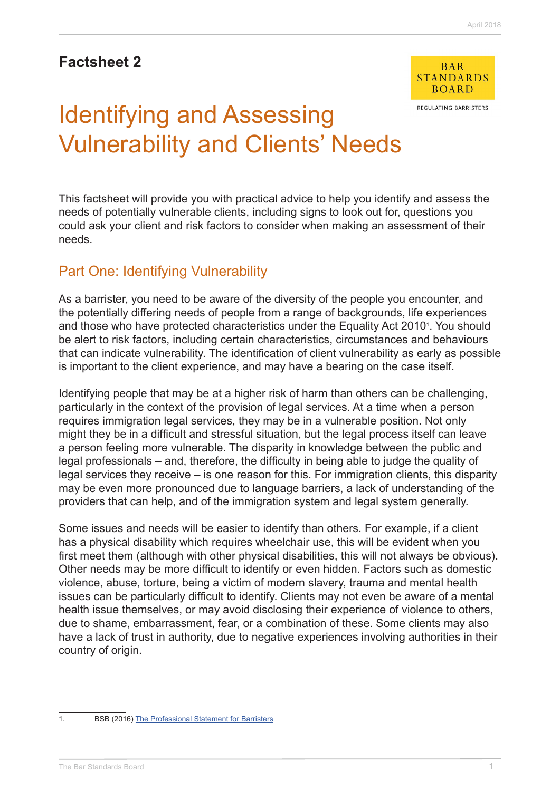# **Factsheet 2**



REGULATING BARRISTERS

# Identifying and Assessing Vulnerability and Clients' Needs

This factsheet will provide you with practical advice to help you identify and assess the needs of potentially vulnerable clients, including signs to look out for, questions you could ask your client and risk factors to consider when making an assessment of their needs.

# Part One: Identifying Vulnerability

As a barrister, you need to be aware of the diversity of the people you encounter, and the potentially differing needs of people from a range of backgrounds, life experiences and those who have protected characteristics under the Equality Act 2010<sup>1</sup>. You should be alert to risk factors, including certain characteristics, circumstances and behaviours that can indicate vulnerability. The identification of client vulnerability as early as possible is important to the client experience, and may have a bearing on the case itself.

Identifying people that may be at a higher risk of harm than others can be challenging, particularly in the context of the provision of legal services. At a time when a person requires immigration legal services, they may be in a vulnerable position. Not only might they be in a difficult and stressful situation, but the legal process itself can leave a person feeling more vulnerable. The disparity in knowledge between the public and legal professionals – and, therefore, the difficulty in being able to judge the quality of legal services they receive – is one reason for this. For immigration clients, this disparity may be even more pronounced due to language barriers, a lack of understanding of the providers that can help, and of the immigration system and legal system generally.

Some issues and needs will be easier to identify than others. For example, if a client has a physical disability which requires wheelchair use, this will be evident when you first meet them (although with other physical disabilities, this will not always be obvious). Other needs may be more difficult to identify or even hidden. Factors such as domestic violence, abuse, torture, being a victim of modern slavery, trauma and mental health issues can be particularly difficult to identify. Clients may not even be aware of a mental health issue themselves, or may avoid disclosing their experience of violence to others, due to shame, embarrassment, fear, or a combination of these. Some clients may also have a lack of trust in authority, due to negative experiences involving authorities in their country of origin.

- 
- 1. BSB (2016) [The Professional Statement for Barristers](https://www.barstandardsboard.org.uk/media/1787559/bsb_professional_statement_and_competences_2016.pdf)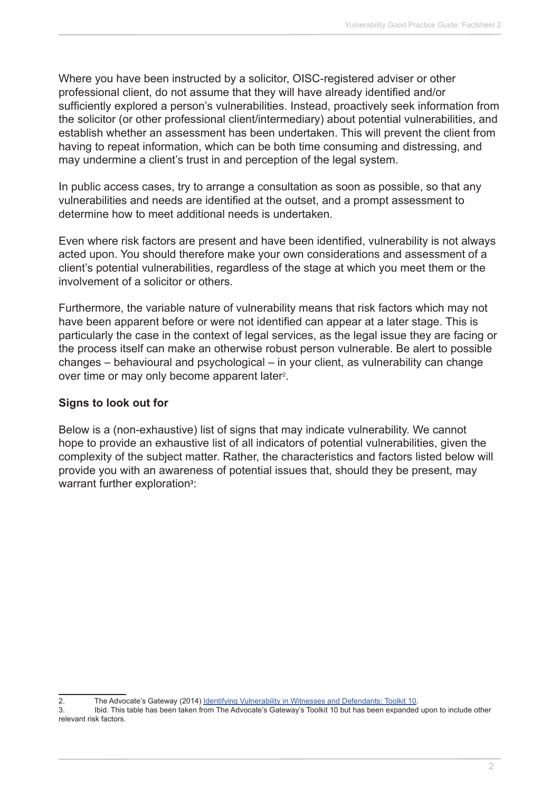Where you have been instructed by a solicitor, OISC-registered adviser or other professional client, do not assume that they will have already identified and/or sufficiently explored a person's vulnerabilities. Instead, proactively seek information from the solicitor (or other professional client/intermediary) about potential vulnerabilities, and establish whether an assessment has been undertaken. This will prevent the client from having to repeat information, which can be both time consuming and distressing, and may undermine a client's trust in and perception of the legal system.

In public access cases, try to arrange a consultation as soon as possible, so that any vulnerabilities and needs are identified at the outset, and a prompt assessment to determine how to meet additional needs is undertaken.

Even where risk factors are present and have been identified, vulnerability is not always acted upon. You should therefore make your own considerations and assessment of a client's potential vulnerabilities, regardless of the stage at which you meet them or the involvement of a solicitor or others.

Furthermore, the variable nature of vulnerability means that risk factors which may not have been apparent before or were not identified can appear at a later stage. This is particularly the case in the context of legal services, as the legal issue they are facing or the process itself can make an otherwise robust person vulnerable. Be alert to possible changes – behavioural and psychological – in your client, as vulnerability can change over time or may only become apparent later<sup>2</sup>.

## **Signs to look out for**

Below is a (non-exhaustive) list of signs that may indicate vulnerability. We cannot hope to provide an exhaustive list of all indicators of potential vulnerabilities, given the complexity of the subject matter. Rather, the characteristics and factors listed below will provide you with an awareness of potential issues that, should they be present, may warrant further exploration**<sup>3</sup>** :

<sup>2.</sup> The Advocate's Gateway (2014) [Identifying Vulnerability in Witnesses and Defendants: Toolkit 10.](http://www.theadvocatesgateway.org/images/toolkits/10identifyingvulnerabilityinwitnessesanddefendants100714.pdf)

<sup>3.</sup> Ibid. This table has been taken from The Advocate's Gateway's Toolkit 10 but has been expanded upon to include other relevant risk factors.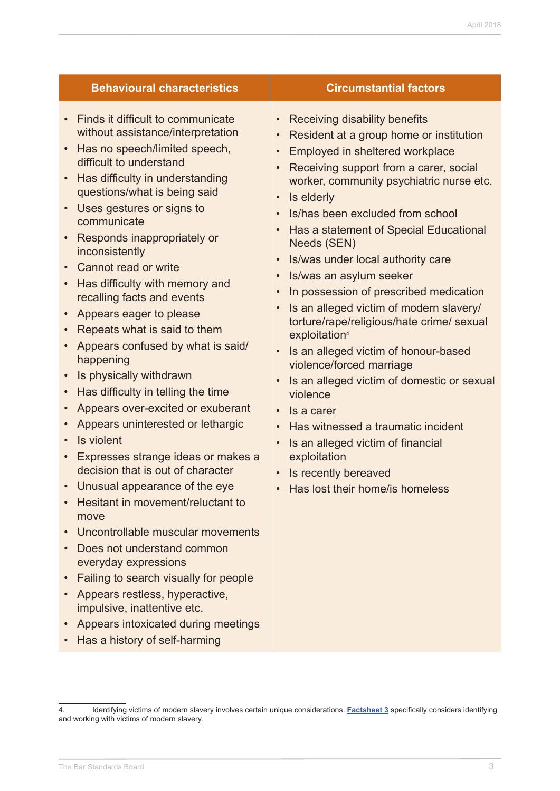| <b>Circumstantial factors</b>                                                                                                                                                                                                                                                                                                                                                                                                                                                                                                                                                                                                                                                                                                                                                                                                                 |
|-----------------------------------------------------------------------------------------------------------------------------------------------------------------------------------------------------------------------------------------------------------------------------------------------------------------------------------------------------------------------------------------------------------------------------------------------------------------------------------------------------------------------------------------------------------------------------------------------------------------------------------------------------------------------------------------------------------------------------------------------------------------------------------------------------------------------------------------------|
| Receiving disability benefits<br>Resident at a group home or institution<br>Employed in sheltered workplace<br>Receiving support from a carer, social<br>worker, community psychiatric nurse etc.<br>Is elderly<br>Is/has been excluded from school<br>Has a statement of Special Educational<br>Needs (SEN)<br>Is/was under local authority care<br>Is/was an asylum seeker<br>In possession of prescribed medication<br>Is an alleged victim of modern slavery/<br>torture/rape/religious/hate crime/ sexual<br>exploitation <sup>4</sup><br>Is an alleged victim of honour-based<br>violence/forced marriage<br>Is an alleged victim of domestic or sexual<br>violence<br>Is a carer<br>Has witnessed a traumatic incident<br>Is an alleged victim of financial<br>exploitation<br>Is recently bereaved<br>Has lost their home/is homeless |
|                                                                                                                                                                                                                                                                                                                                                                                                                                                                                                                                                                                                                                                                                                                                                                                                                                               |

<sup>4.</sup> Identifying victims of modern slavery involves certain unique considerations. **[Factsheet 3](http://www.barstandardsboard.org.uk/media/1929012/factsheet_3.pdf)** specifically considers identifying and working with victims of modern slavery.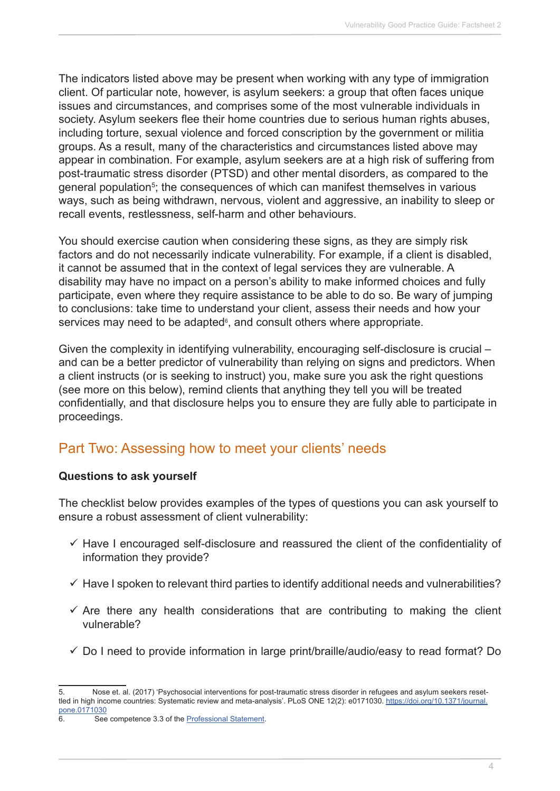The indicators listed above may be present when working with any type of immigration client. Of particular note, however, is asylum seekers: a group that often faces unique issues and circumstances, and comprises some of the most vulnerable individuals in society. Asylum seekers flee their home countries due to serious human rights abuses, including torture, sexual violence and forced conscription by the government or militia groups. As a result, many of the characteristics and circumstances listed above may appear in combination. For example, asylum seekers are at a high risk of suffering from post-traumatic stress disorder (PTSD) and other mental disorders, as compared to the general population<sup>5</sup>; the consequences of which can manifest themselves in various ways, such as being withdrawn, nervous, violent and aggressive, an inability to sleep or recall events, restlessness, self-harm and other behaviours.

You should exercise caution when considering these signs, as they are simply risk factors and do not necessarily indicate vulnerability. For example, if a client is disabled, it cannot be assumed that in the context of legal services they are vulnerable. A disability may have no impact on a person's ability to make informed choices and fully participate, even where they require assistance to be able to do so. Be wary of jumping to conclusions: take time to understand your client, assess their needs and how your services may need to be adapted<sup>6</sup>, and consult others where appropriate.

Given the complexity in identifying vulnerability, encouraging self-disclosure is crucial – and can be a better predictor of vulnerability than relying on signs and predictors. When a client instructs (or is seeking to instruct) you, make sure you ask the right questions (see more on this below), remind clients that anything they tell you will be treated confidentially, and that disclosure helps you to ensure they are fully able to participate in proceedings.

# Part Two: Assessing how to meet your clients' needs

## **Questions to ask yourself**

The checklist below provides examples of the types of questions you can ask yourself to ensure a robust assessment of client vulnerability:

- $\checkmark$  Have I encouraged self-disclosure and reassured the client of the confidentiality of information they provide?
- $\checkmark$  Have I spoken to relevant third parties to identify additional needs and vulnerabilities?
- $\checkmark$  Are there any health considerations that are contributing to making the client vulnerable?
- $\checkmark$  Do I need to provide information in large print/braille/audio/easy to read format? Do

<sup>5.</sup> Nose et. al. (2017) 'Psychosocial interventions for post-traumatic stress disorder in refugees and asylum seekers resettled in high income countries: Systematic review and meta-analysis'. PLoS ONE 12(2): e0171030. [https://doi.org/10.1371/journal.](https://doi.org/10.1371/journal.pone.0171030) [pone.0171030](https://doi.org/10.1371/journal.pone.0171030)

<sup>6.</sup> See competence 3.3 of the **Professional Statement**.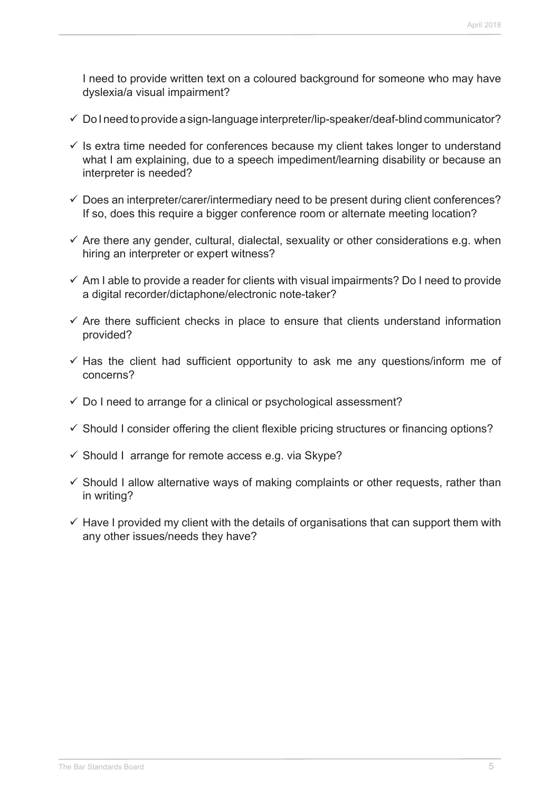I need to provide written text on a coloured background for someone who may have dyslexia/a visual impairment?

- $\checkmark$  Do I need to provide a sign-language interpreter/lip-speaker/deaf-blind communicator?
- $\checkmark$  is extra time needed for conferences because my client takes longer to understand what I am explaining, due to a speech impediment/learning disability or because an interpreter is needed?
- $\checkmark$  Does an interpreter/carer/intermediary need to be present during client conferences? If so, does this require a bigger conference room or alternate meeting location?
- $\checkmark$  Are there any gender, cultural, dialectal, sexuality or other considerations e.g. when hiring an interpreter or expert witness?
- $\checkmark$  Am I able to provide a reader for clients with visual impairments? Do I need to provide a digital recorder/dictaphone/electronic note-taker?
- $\checkmark$  Are there sufficient checks in place to ensure that clients understand information provided?
- $\checkmark$  Has the client had sufficient opportunity to ask me any questions/inform me of concerns?
- $\checkmark$  Do I need to arrange for a clinical or psychological assessment?
- $\checkmark$  Should I consider offering the client flexible pricing structures or financing options?
- $\checkmark$  Should I arrange for remote access e.g. via Skype?
- $\checkmark$  Should I allow alternative ways of making complaints or other requests, rather than in writing?
- $\checkmark$  Have I provided my client with the details of organisations that can support them with any other issues/needs they have?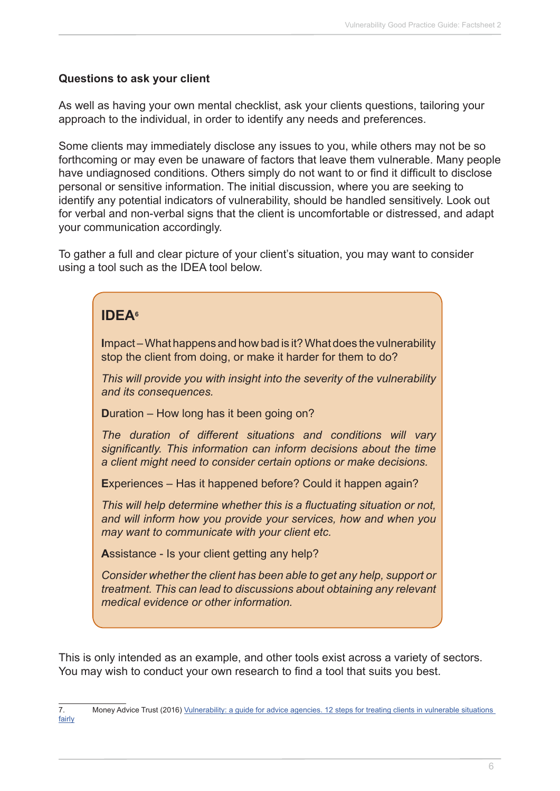## **Questions to ask your client**

As well as having your own mental checklist, ask your clients questions, tailoring your approach to the individual, in order to identify any needs and preferences.

Some clients may immediately disclose any issues to you, while others may not be so forthcoming or may even be unaware of factors that leave them vulnerable. Many people have undiagnosed conditions. Others simply do not want to or find it difficult to disclose personal or sensitive information. The initial discussion, where you are seeking to identify any potential indicators of vulnerability, should be handled sensitively. Look out for verbal and non-verbal signs that the client is uncomfortable or distressed, and adapt your communication accordingly.

To gather a full and clear picture of your client's situation, you may want to consider using a tool such as the IDEA tool below.

| <b>IDEA</b> <sup>6</sup>                                                                                                                                                                                   |
|------------------------------------------------------------------------------------------------------------------------------------------------------------------------------------------------------------|
| Impact – What happens and how bad is it? What does the vulnerability<br>stop the client from doing, or make it harder for them to do?                                                                      |
| This will provide you with insight into the severity of the vulnerability<br>and its consequences.                                                                                                         |
| Duration – How long has it been going on?                                                                                                                                                                  |
| The duration of different situations and conditions will vary<br>significantly. This information can inform decisions about the time<br>a client might need to consider certain options or make decisions. |
| Experiences – Has it happened before? Could it happen again?                                                                                                                                               |
| This will help determine whether this is a fluctuating situation or not,<br>and will inform how you provide your services, how and when you<br>may want to communicate with your client etc.               |
| Assistance - Is your client getting any help?                                                                                                                                                              |
| Consider whether the client has been able to get any help, support or<br>treatment. This can lead to discussions about obtaining any relevant<br>medical evidence or other information.                    |

This is only intended as an example, and other tools exist across a variety of sectors. You may wish to conduct your own research to find a tool that suits you best.

<sup>7.</sup> Money Advice Trust (2016) [Vulnerability: a guide for advice agencies. 12 steps for treating clients in vulnerable situations](http://www.moneyadvicetrust.org/training/Documents/Vulnerability Guide for Advisers.pdf)  [fairly](http://www.moneyadvicetrust.org/training/Documents/Vulnerability Guide for Advisers.pdf)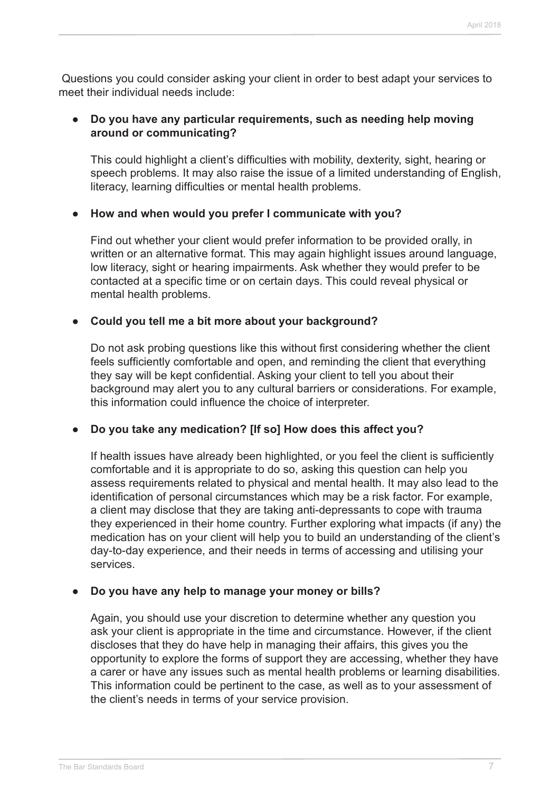Questions you could consider asking your client in order to best adapt your services to meet their individual needs include:

## **● Do you have any particular requirements, such as needing help moving around or communicating?**

This could highlight a client's difficulties with mobility, dexterity, sight, hearing or speech problems. It may also raise the issue of a limited understanding of English, literacy, learning difficulties or mental health problems.

## **● How and when would you prefer I communicate with you?**

Find out whether your client would prefer information to be provided orally, in written or an alternative format. This may again highlight issues around language, low literacy, sight or hearing impairments. Ask whether they would prefer to be contacted at a specific time or on certain days. This could reveal physical or mental health problems.

## **● Could you tell me a bit more about your background?**

Do not ask probing questions like this without first considering whether the client feels sufficiently comfortable and open, and reminding the client that everything they say will be kept confidential. Asking your client to tell you about their background may alert you to any cultural barriers or considerations. For example, this information could influence the choice of interpreter.

## **● Do you take any medication? [If so] How does this affect you?**

If health issues have already been highlighted, or you feel the client is sufficiently comfortable and it is appropriate to do so, asking this question can help you assess requirements related to physical and mental health. It may also lead to the identification of personal circumstances which may be a risk factor. For example, a client may disclose that they are taking anti-depressants to cope with trauma they experienced in their home country. Further exploring what impacts (if any) the medication has on your client will help you to build an understanding of the client's day-to-day experience, and their needs in terms of accessing and utilising your services.

## **● Do you have any help to manage your money or bills?**

Again, you should use your discretion to determine whether any question you ask your client is appropriate in the time and circumstance. However, if the client discloses that they do have help in managing their affairs, this gives you the opportunity to explore the forms of support they are accessing, whether they have a carer or have any issues such as mental health problems or learning disabilities. This information could be pertinent to the case, as well as to your assessment of the client's needs in terms of your service provision.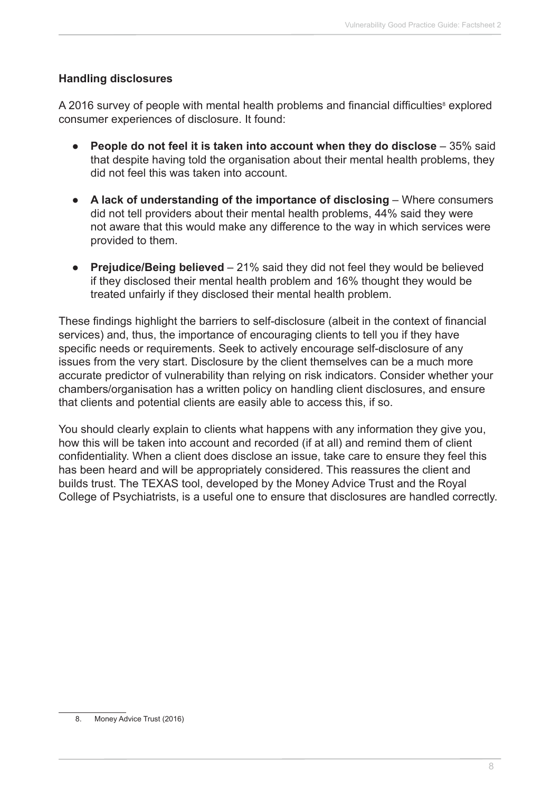## **Handling disclosures**

A 2016 survey of people with mental health problems and financial difficulties<sup>8</sup> explored consumer experiences of disclosure. It found:

- **People do not feel it is taken into account when they do disclose** 35% said that despite having told the organisation about their mental health problems, they did not feel this was taken into account.
- **A lack of understanding of the importance of disclosing Where consumers** did not tell providers about their mental health problems, 44% said they were not aware that this would make any difference to the way in which services were provided to them.
- **Prejudice/Being believed** 21% said they did not feel they would be believed if they disclosed their mental health problem and 16% thought they would be treated unfairly if they disclosed their mental health problem.

These findings highlight the barriers to self-disclosure (albeit in the context of financial services) and, thus, the importance of encouraging clients to tell you if they have specific needs or requirements. Seek to actively encourage self-disclosure of any issues from the very start. Disclosure by the client themselves can be a much more accurate predictor of vulnerability than relying on risk indicators. Consider whether your chambers/organisation has a written policy on handling client disclosures, and ensure that clients and potential clients are easily able to access this, if so.

You should clearly explain to clients what happens with any information they give you, how this will be taken into account and recorded (if at all) and remind them of client confidentiality. When a client does disclose an issue, take care to ensure they feel this has been heard and will be appropriately considered. This reassures the client and builds trust. The TEXAS tool, developed by the Money Advice Trust and the Royal College of Psychiatrists, is a useful one to ensure that disclosures are handled correctly.

<sup>8.</sup> Money Advice Trust (2016)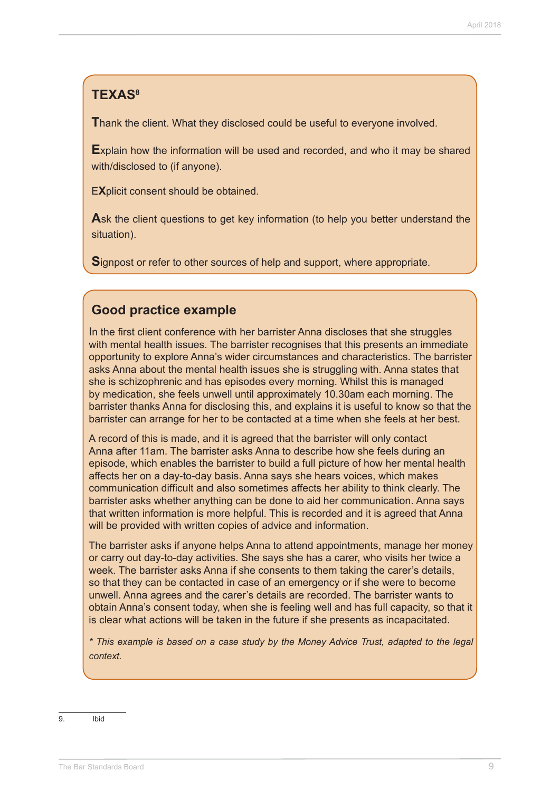## **TEXAS8**

**T**hank the client. What they disclosed could be useful to everyone involved.

**E**xplain how the information will be used and recorded, and who it may be shared with/disclosed to (if anyone).

E**X**plicit consent should be obtained.

**A**sk the client questions to get key information (to help you better understand the situation).

**S**ignpost or refer to other sources of help and support, where appropriate.

## **Good practice example**

In the first client conference with her barrister Anna discloses that she struggles with mental health issues. The barrister recognises that this presents an immediate opportunity to explore Anna's wider circumstances and characteristics. The barrister asks Anna about the mental health issues she is struggling with. Anna states that she is schizophrenic and has episodes every morning. Whilst this is managed by medication, she feels unwell until approximately 10.30am each morning. The barrister thanks Anna for disclosing this, and explains it is useful to know so that the barrister can arrange for her to be contacted at a time when she feels at her best.

A record of this is made, and it is agreed that the barrister will only contact Anna after 11am. The barrister asks Anna to describe how she feels during an episode, which enables the barrister to build a full picture of how her mental health affects her on a day-to-day basis. Anna says she hears voices, which makes communication difficult and also sometimes affects her ability to think clearly. The barrister asks whether anything can be done to aid her communication. Anna says that written information is more helpful. This is recorded and it is agreed that Anna will be provided with written copies of advice and information.

The barrister asks if anyone helps Anna to attend appointments, manage her money or carry out day-to-day activities. She says she has a carer, who visits her twice a week. The barrister asks Anna if she consents to them taking the carer's details, so that they can be contacted in case of an emergency or if she were to become unwell. Anna agrees and the carer's details are recorded. The barrister wants to obtain Anna's consent today, when she is feeling well and has full capacity, so that it is clear what actions will be taken in the future if she presents as incapacitated.

*\* This example is based on a case study by the Money Advice Trust, adapted to the legal context.*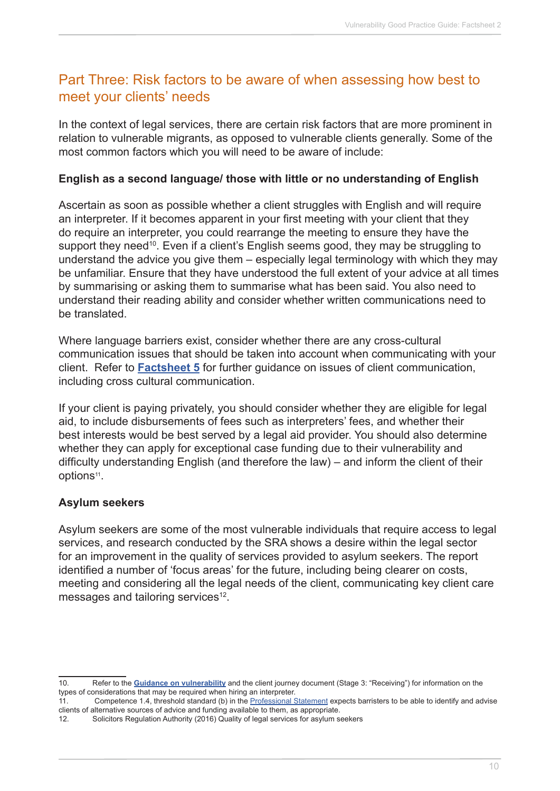# Part Three: Risk factors to be aware of when assessing how best to meet your clients' needs

In the context of legal services, there are certain risk factors that are more prominent in relation to vulnerable migrants, as opposed to vulnerable clients generally. Some of the most common factors which you will need to be aware of include:

## **English as a second language/ those with little or no understanding of English**

Ascertain as soon as possible whether a client struggles with English and will require an interpreter. If it becomes apparent in your first meeting with your client that they do require an interpreter, you could rearrange the meeting to ensure they have the support they need<sup>10</sup>. Even if a client's English seems good, they may be struggling to understand the advice you give them – especially legal terminology with which they may be unfamiliar. Ensure that they have understood the full extent of your advice at all times by summarising or asking them to summarise what has been said. You also need to understand their reading ability and consider whether written communications need to be translated.

Where language barriers exist, consider whether there are any cross-cultural communication issues that should be taken into account when communicating with your client. Refer to **[Factsheet 5](http://www.barstandardsboard.org.uk/media/1929020/factsheet_5.pdf)** for further guidance on issues of client communication, including cross cultural communication.

If your client is paying privately, you should consider whether they are eligible for legal aid, to include disbursements of fees such as interpreters' fees, and whether their best interests would be best served by a legal aid provider. You should also determine whether they can apply for exceptional case funding due to their vulnerability and difficulty understanding English (and therefore the law) – and inform the client of their options<sup>11</sup>.

## **Asylum seekers**

Asylum seekers are some of the most vulnerable individuals that require access to legal services, and research conducted by the SRA shows a desire within the legal sector for an improvement in the quality of services provided to asylum seekers. The report identified a number of 'focus areas' for the future, including being clearer on costs, meeting and considering all the legal needs of the client, communicating key client care messages and tailoring services<sup>12</sup>.

<sup>10.</sup> Refer to the **[Guidance on vulnerability](http://www.barstandardsboard.org.uk/media/1929040/immigration_vulnerability_guidance_2018.pdf)** and the client journey document (Stage 3: "Receiving") for information on the types of considerations that may be required when hiring an interpreter.

<sup>11.</sup> Competence 1.4, threshold standard (b) in the [Professional Statement](https://www.barstandardsboard.org.uk/media/1787559/bsb_professional_statement_and_competences_2016.pdf) expects barristers to be able to identify and advise clients of alternative sources of advice and funding available to them, as appropriate.

<sup>12.</sup> Solicitors Regulation Authority (2016) Quality of legal services for asylum seekers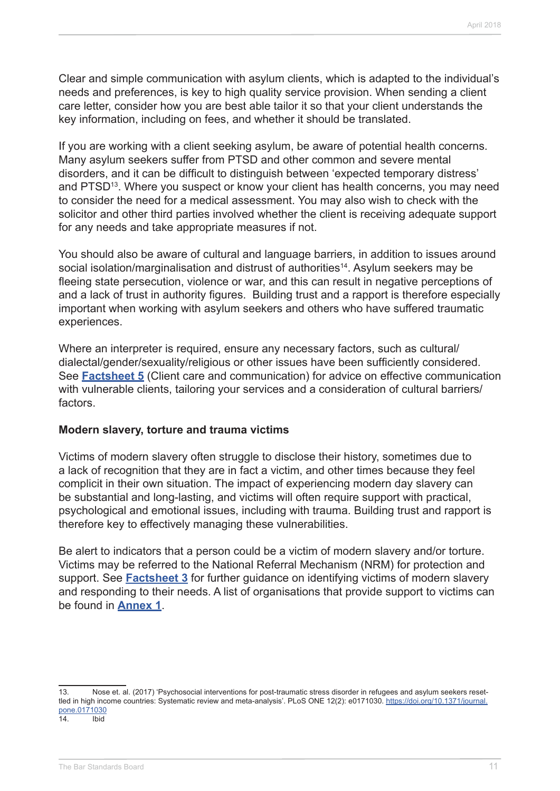Clear and simple communication with asylum clients, which is adapted to the individual's needs and preferences, is key to high quality service provision. When sending a client care letter, consider how you are best able tailor it so that your client understands the key information, including on fees, and whether it should be translated.

If you are working with a client seeking asylum, be aware of potential health concerns. Many asylum seekers suffer from PTSD and other common and severe mental disorders, and it can be difficult to distinguish between 'expected temporary distress' and PTSD<sup>13</sup>. Where you suspect or know your client has health concerns, you may need to consider the need for a medical assessment. You may also wish to check with the solicitor and other third parties involved whether the client is receiving adequate support for any needs and take appropriate measures if not.

You should also be aware of cultural and language barriers, in addition to issues around social isolation/marginalisation and distrust of authorities<sup>14</sup>. Asylum seekers may be fleeing state persecution, violence or war, and this can result in negative perceptions of and a lack of trust in authority figures. Building trust and a rapport is therefore especially important when working with asylum seekers and others who have suffered traumatic experiences.

Where an interpreter is required, ensure any necessary factors, such as cultural/ dialectal/gender/sexuality/religious or other issues have been sufficiently considered. See **[Factsheet 5](http://www.barstandardsboard.org.uk/media/1929020/factsheet_5.pdf)** (Client care and communication) for advice on effective communication with vulnerable clients, tailoring your services and a consideration of cultural barriers/ factors.

#### **Modern slavery, torture and trauma victims**

Victims of modern slavery often struggle to disclose their history, sometimes due to a lack of recognition that they are in fact a victim, and other times because they feel complicit in their own situation. The impact of experiencing modern day slavery can be substantial and long-lasting, and victims will often require support with practical, psychological and emotional issues, including with trauma. Building trust and rapport is therefore key to effectively managing these vulnerabilities.

Be alert to indicators that a person could be a victim of modern slavery and/or torture. Victims may be referred to the National Referral Mechanism (NRM) for protection and support. See **[Factsheet 3](http://www.barstandardsboard.org.uk/media/1929012/factsheet_3.pdf)** for further guidance on identifying victims of modern slavery and responding to their needs. A list of organisations that provide support to victims can be found in **[Annex 1](http://www.barstandardsboard.org.uk/media/1929032/useful_contacts.pdf)**.

<sup>13.</sup> Nose et. al. (2017) 'Psychosocial interventions for post-traumatic stress disorder in refugees and asylum seekers resettled in high income countries: Systematic review and meta-analysis'. PLoS ONE 12(2): e0171030. [https://doi.org/10.1371/journal.](https://doi.org/10.1371/journal.pone.0171030) [pone.0171030](https://doi.org/10.1371/journal.pone.0171030) 14. Ibid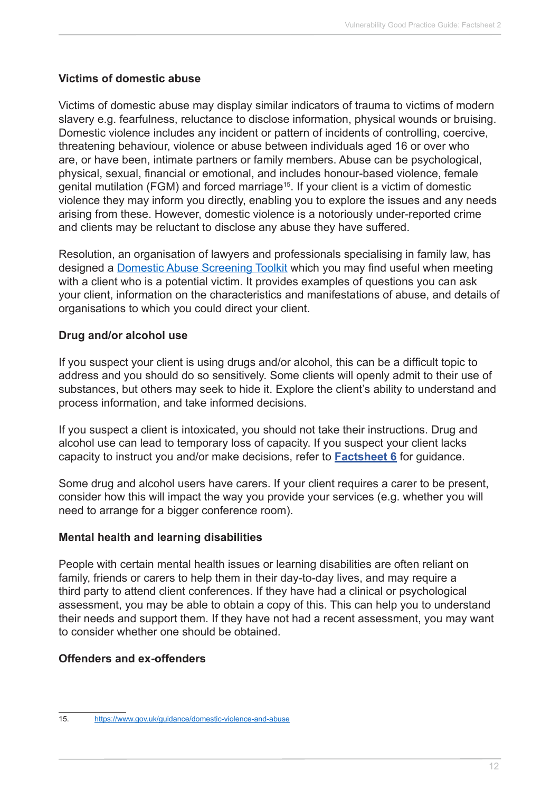## **Victims of domestic abuse**

Victims of domestic abuse may display similar indicators of trauma to victims of modern slavery e.g. fearfulness, reluctance to disclose information, physical wounds or bruising. Domestic violence includes any incident or pattern of incidents of controlling, coercive, threatening behaviour, violence or abuse between individuals aged 16 or over who are, or have been, intimate partners or family members. Abuse can be psychological, physical, sexual, financial or emotional, and includes honour-based violence, female genital mutilation (FGM) and forced marriage<sup>15</sup>. If your client is a victim of domestic violence they may inform you directly, enabling you to explore the issues and any needs arising from these. However, domestic violence is a notoriously under-reported crime and clients may be reluctant to disclose any abuse they have suffered.

Resolution, an organisation of lawyers and professionals specialising in family law, has designed a [Domestic Abuse Screening Toolkit](http://www.resolution.org.uk/site_content_files/files/da_leaflet_2.pdf) which you may find useful when meeting with a client who is a potential victim. It provides examples of questions you can ask your client, information on the characteristics and manifestations of abuse, and details of organisations to which you could direct your client.

## **Drug and/or alcohol use**

If you suspect your client is using drugs and/or alcohol, this can be a difficult topic to address and you should do so sensitively. Some clients will openly admit to their use of substances, but others may seek to hide it. Explore the client's ability to understand and process information, and take informed decisions.

If you suspect a client is intoxicated, you should not take their instructions. Drug and alcohol use can lead to temporary loss of capacity. If you suspect your client lacks capacity to instruct you and/or make decisions, refer to **[Factsheet 6](http://www.barstandardsboard.org.uk/media/1929024/factsheet_6.pdf)** for guidance.

Some drug and alcohol users have carers. If your client requires a carer to be present, consider how this will impact the way you provide your services (e.g. whether you will need to arrange for a bigger conference room).

## **Mental health and learning disabilities**

People with certain mental health issues or learning disabilities are often reliant on family, friends or carers to help them in their day-to-day lives, and may require a third party to attend client conferences. If they have had a clinical or psychological assessment, you may be able to obtain a copy of this. This can help you to understand their needs and support them. If they have not had a recent assessment, you may want to consider whether one should be obtained.

## **Offenders and ex-offenders**

<sup>15.</sup> <https://www.gov.uk/guidance/domestic-violence-and-abuse>